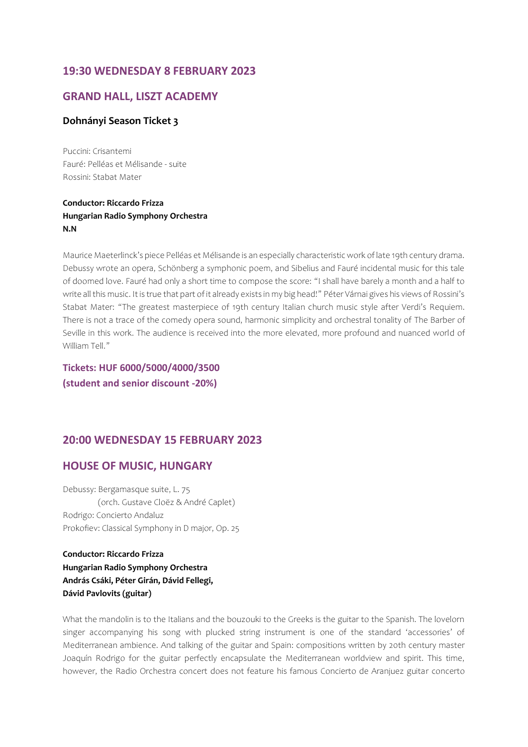# **19:30 WEDNESDAY 8 FEBRUARY 2023**

## **GRAND HALL, LISZT ACADEMY**

#### **Dohnányi Season Ticket 3**

Puccini: Crisantemi Fauré: Pelléas et Mélisande - suite Rossini: Stabat Mater

## **Conductor: Riccardo Frizza Hungarian Radio Symphony Orchestra N.N**

Maurice Maeterlinck's piece Pelléas et Mélisande is an especially characteristic work of late 19th century drama. Debussy wrote an opera, Schönberg a symphonic poem, and Sibelius and Fauré incidental music for this tale of doomed love. Fauré had only a short time to compose the score: "I shall have barely a month and a half to write all this music. It is true that part of it already exists in my big head!" Péter Várnai gives his views of Rossini's Stabat Mater: "The greatest masterpiece of 19th century Italian church music style after Verdi's Requiem. There is not a trace of the comedy opera sound, harmonic simplicity and orchestral tonality of The Barber of Seville in this work. The audience is received into the more elevated, more profound and nuanced world of William Tell."

**Tickets: HUF 6000/5000/4000/3500 (student and senior discount -20%)**

## **20:00 WEDNESDAY 15 FEBRUARY 2023**

## **HOUSE OF MUSIC, HUNGARY**

Debussy: Bergamasque suite, L. 75 (orch. Gustave Cloëz & André Caplet) Rodrigo: Concierto Andaluz Prokofiev: Classical Symphony in D major, Op. 25

**Conductor: Riccardo Frizza Hungarian Radio Symphony Orchestra András Csáki, Péter Girán, Dávid Fellegi, Dávid Pavlovits (guitar)**

What the mandolin is to the Italians and the bouzouki to the Greeks is the guitar to the Spanish. The lovelorn singer accompanying his song with plucked string instrument is one of the standard 'accessories' of Mediterranean ambience. And talking of the guitar and Spain: compositions written by 20th century master Joaquín Rodrigo for the guitar perfectly encapsulate the Mediterranean worldview and spirit. This time, however, the Radio Orchestra concert does not feature his famous Concierto de Aranjuez guitar concerto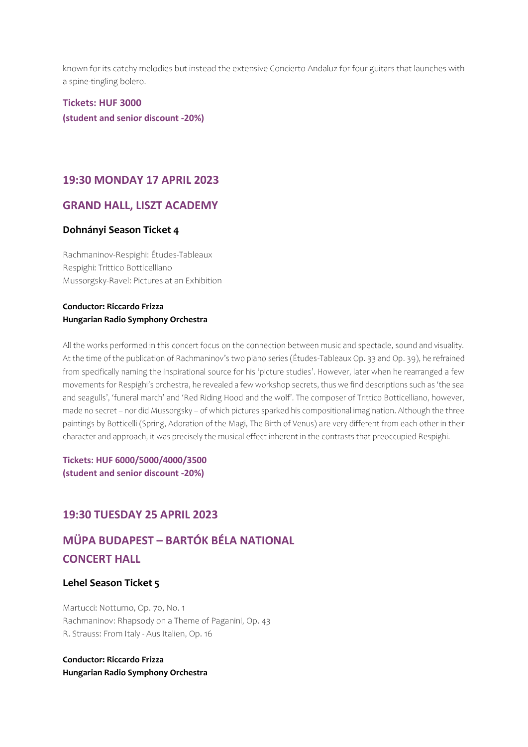known for its catchy melodies but instead the extensive Concierto Andaluz for four guitars that launches with a spine-tingling bolero.

**Tickets: HUF 3000 (student and senior discount -20%)**

## **19:30 MONDAY 17 APRIL 2023**

### **GRAND HALL, LISZT ACADEMY**

#### **Dohnányi Season Ticket 4**

Rachmaninov-Respighi: Études-Tableaux Respighi: Trittico Botticelliano Mussorgsky-Ravel: Pictures at an Exhibition

### **Conductor: Riccardo Frizza Hungarian Radio Symphony Orchestra**

All the works performed in this concert focus on the connection between music and spectacle, sound and visuality. At the time of the publication of Rachmaninov's two piano series (Études-Tableaux Op. 33 and Op. 39), he refrained from specifically naming the inspirational source for his 'picture studies'. However, later when he rearranged a few movements for Respighi's orchestra, he revealed a few workshop secrets, thus we find descriptions such as 'the sea and seagulls', 'funeral march' and 'Red Riding Hood and the wolf'. The composer of Trittico Botticelliano, however, made no secret – nor did Mussorgsky – of which pictures sparked his compositional imagination. Although the three paintings by Botticelli (Spring, Adoration of the Magi, The Birth of Venus) are very different from each other in their character and approach, it was precisely the musical effect inherent in the contrasts that preoccupied Respighi.

**Tickets: HUF 6000/5000/4000/3500 (student and senior discount -20%)** 

# **19:30 TUESDAY 25 APRIL 2023**

# **MÜPA BUDAPEST – BARTÓK BÉLA NATIONAL CONCERT HALL**

#### **Lehel Season Ticket 5**

Martucci: Notturno, Op. 70, No. 1 Rachmaninov: Rhapsody on a Theme of Paganini, Op. 43 R. Strauss: From Italy - Aus Italien, Op. 16

**Conductor: Riccardo Frizza Hungarian Radio Symphony Orchestra**